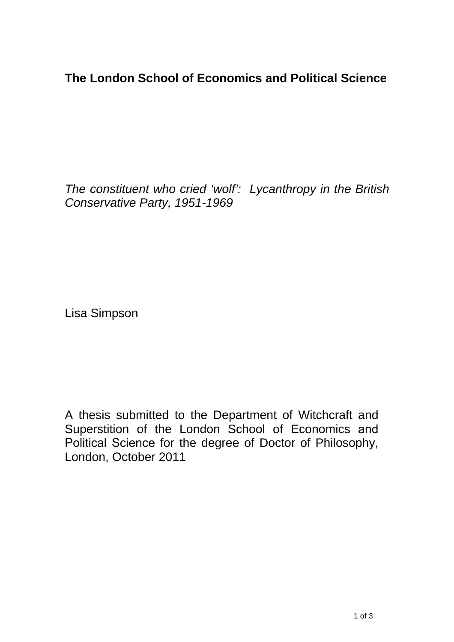# **The London School of Economics and Political Science**

The constituent who cried 'wolf': Lycanthropy in the British Conservative Party, 1951-1969

Lisa Simpson

A thesis submitted to the Department of Witchcraft and Superstition of the London School of Economics and Political Science for the degree of Doctor of Philosophy, London, October 2011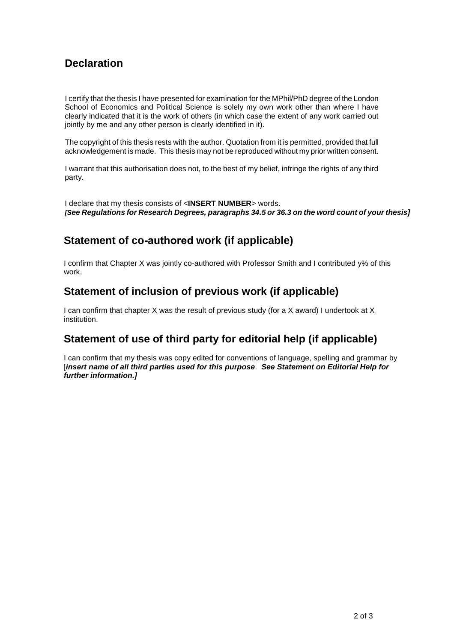### **Declaration**

I certify that the thesis I have presented for examination for the MPhil/PhD degree of the London School of Economics and Political Science is solely my own work other than where I have clearly indicated that it is the work of others (in which case the extent of any work carried out jointly by me and any other person is clearly identified in it).

The copyright of this thesis rests with the author. Quotation from it is permitted, provided that full acknowledgement is made. This thesis may not be reproduced without my prior written consent.

I warrant that this authorisation does not, to the best of my belief, infringe the rights of any third party.

I declare that my thesis consists of <**INSERT NUMBER**> words. **[See Regulations for Research Degrees, paragraphs 34.5 or 36.3 on the word count of your thesis]** 

#### **Statement of co-authored work (if applicable)**

I confirm that Chapter X was jointly co-authored with Professor Smith and I contributed y% of this work.

#### **Statement of inclusion of previous work (if applicable)**

I can confirm that chapter X was the result of previous study (for a X award) I undertook at X institution.

#### **Statement of use of third party for editorial help (if applicable)**

I can confirm that my thesis was copy edited for conventions of language, spelling and grammar by [**insert name of all third parties used for this purpose**. **See Statement on Editorial Help for further information.]**